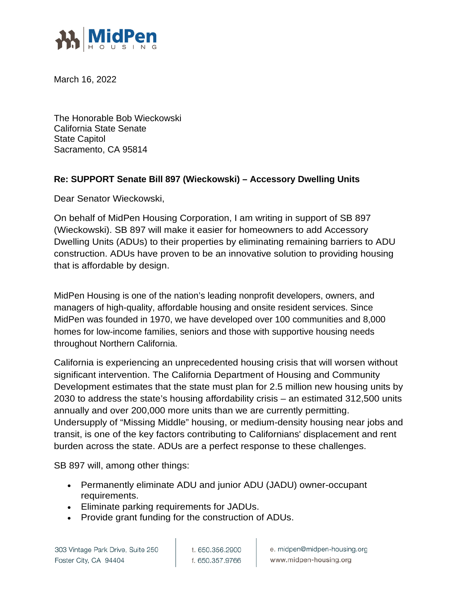

March 16, 2022

The Honorable Bob Wieckowski California State Senate State Capitol Sacramento, CA 95814

## **Re: SUPPORT Senate Bill 897 (Wieckowski) – Accessory Dwelling Units**

Dear Senator Wieckowski,

On behalf of MidPen Housing Corporation, I am writing in support of SB 897 (Wieckowski). SB 897 will make it easier for homeowners to add Accessory Dwelling Units (ADUs) to their properties by eliminating remaining barriers to ADU construction. ADUs have proven to be an innovative solution to providing housing that is affordable by design.

MidPen Housing is one of the nation's leading nonprofit developers, owners, and managers of high-quality, affordable housing and onsite resident services. Since MidPen was founded in 1970, we have developed over 100 communities and 8,000 homes for low-income families, seniors and those with supportive housing needs throughout Northern California.

California is experiencing an unprecedented housing crisis that will worsen without significant intervention. The California Department of Housing and Community Development estimates that the state must plan for 2.5 million new housing units by 2030 to address the state's housing affordability crisis – an estimated 312,500 units annually and over 200,000 more units than we are currently permitting. Undersupply of "Missing Middle" housing, or medium-density housing near jobs and transit, is one of the key factors contributing to Californians' displacement and rent burden across the state. ADUs are a perfect response to these challenges.

SB 897 will, among other things:

- Permanently eliminate ADU and junior ADU (JADU) owner-occupant requirements.
- Eliminate parking requirements for JADUs.
- Provide grant funding for the construction of ADUs.